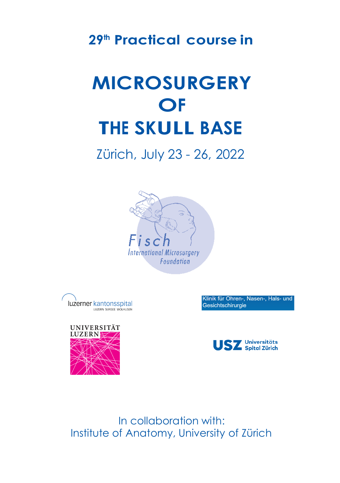## **29th Practical course in**

## **MICROSURGERY OF THE SKULL BASE**

Zürich, July 23 - 26, 2022





Klinik für Ohren-, Nasen-, Hals- und Gesichtschirurgie





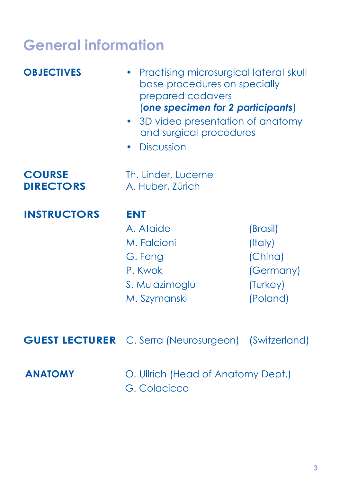## **General information**

| <b>OBJECTIVES</b>                 | Practising microsurgical lateral skull<br>base procedures on specially<br>prepared cadavers<br>(one specimen for 2 participants)<br>3D video presentation of anatomy<br>and surgical procedures<br><b>Discussion</b> |                                                                     |
|-----------------------------------|----------------------------------------------------------------------------------------------------------------------------------------------------------------------------------------------------------------------|---------------------------------------------------------------------|
| <b>COURSE</b><br><b>DIRECTORS</b> | Th. Linder, Lucerne<br>A. Huber, Zürich                                                                                                                                                                              |                                                                     |
| <b>INSTRUCTORS</b>                | <b>ENT</b><br>A. Ataide<br>M. Falcioni<br>G. Feng<br>P. Kwok<br>S. Mulazimoglu<br>M. Szymanski                                                                                                                       | (Brasil)<br>(Italy)<br>(China)<br>(Germany)<br>(Turkey)<br>(Poland) |
| <b>GUEST LECTURER</b>             | C. Serra (Neurosurgeon)                                                                                                                                                                                              | (Switzerland)                                                       |
| <b>ANATOMY</b>                    | O. Ullrich (Head of Anatomy Dept.)<br>G. Colacicco                                                                                                                                                                   |                                                                     |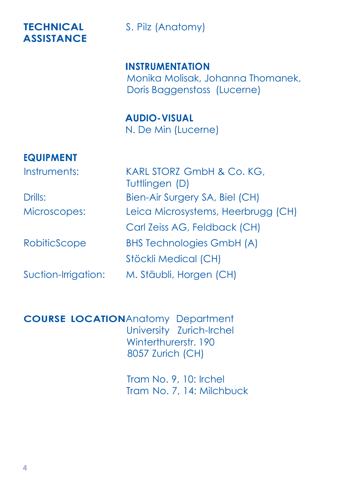# **ASSISTANCE**

**TECHNICAL** S. Pilz (Anatomy)

**INSTRUMENTATION** Monika Molisak, Johanna Thomanek, Doris Baaaenstoss (Lucerne)

**AUDIO-VISUAL** N. De Min (Lucerne)

#### **EQUIPMENT**

Instruments: KARL STORZ GmbH & Co. KG, Tuttlingen (D) Drills: Bien-Air Surgery SA, Biel (CH) Microscopes: Leica Microsystems, Heerbrugg (CH) Carl Zeiss AG, Feldback (CH) RobiticScope BHS Technologies GmbH (A) Stöckli Medical (CH) Suction-Irrigation: M. Stäubli, Horgen (CH)

**COURSE LOCATION**Anatomy Department University Zurich-Irchel Winterthurerstr. 190 8057 Zurich (CH)

> Tram No. 9, 10: Irchel Tram No. 7, 14: Milchbuck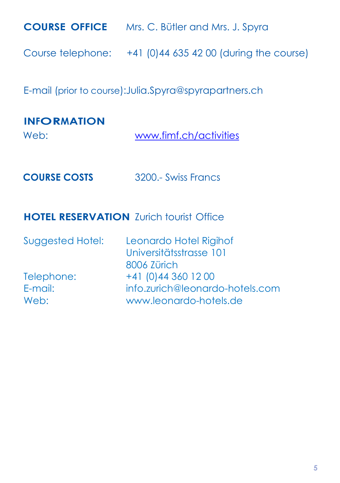| <b>COURSE OFFICE</b>                                   | Mrs. C. Bütler and Mrs. J. Spyra                            |  |
|--------------------------------------------------------|-------------------------------------------------------------|--|
|                                                        | Course telephone: $+41$ (0)44 635 42 00 (during the course) |  |
| E-mail (prior to course): Julia.Spyra@spyrapartners.ch |                                                             |  |
|                                                        |                                                             |  |
| <b>INFORMATION</b><br>Web:                             | www.fimf.ch/activities                                      |  |

#### **HOTEL RESERVATION** Zurich tourist Office

| Suggested Hotel: | Leonardo Hotel Rigihof<br>Universitätsstrasse 101 |
|------------------|---------------------------------------------------|
|                  | 8006 Zürich                                       |
| Telephone:       | +41 (0) 44 360 12 00                              |
| E-mail:          | info.zurich@leonardo-hotels.com                   |
| Web:             | www.leonardo-hotels.de                            |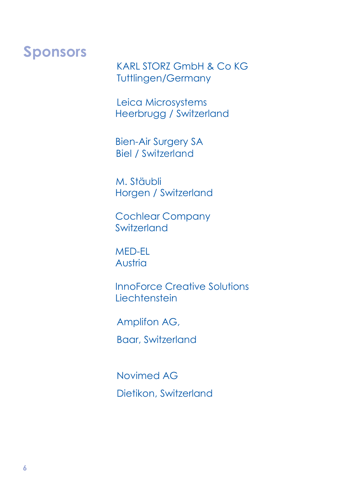## **Sponsors**

KARL STORZ GmbH & Co KG Tuttlingen/Germany

Leica Microsystems Heerbrugg / Switzerland

Bien-Air Surgery SA Biel / Switzerland

M. Stäubli Horgen / Switzerland

Cochlear Company Switzerland

MED-EL Austria

InnoForce Creative Solutions **Liechtenstein** 

Amplifon AG,

Baar, Switzerland

Novimed AG Dietikon, Switzerland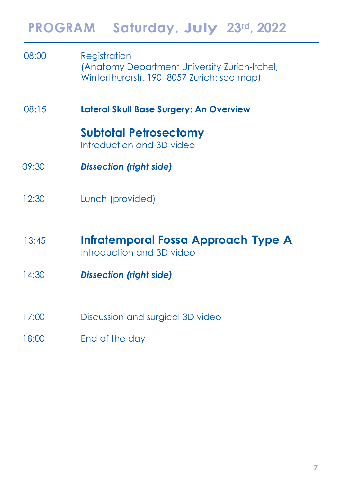|       | PROGRAM Saturday, July 23rd, 2022                                                                            |
|-------|--------------------------------------------------------------------------------------------------------------|
| 08:00 | Registration<br>(Anatomy Department University Zurich-Irchel,<br>Winterthurerstr. 190, 8057 Zurich: see map) |
| 08:15 | <b>Lateral Skull Base Surgery: An Overview</b>                                                               |
|       | <b>Subtotal Petrosectomy</b><br>Introduction and 3D video                                                    |
| 09:30 | <b>Dissection (right side)</b>                                                                               |
| 12:30 | Lunch (provided)                                                                                             |
| 13:45 | Infratemporal Fossa Approach Type A<br>Introduction and 3D video                                             |
| 14:30 | <b>Dissection (right side)</b>                                                                               |
| 17:00 | Discussion and surgical 3D video                                                                             |
| 18:00 | End of the day                                                                                               |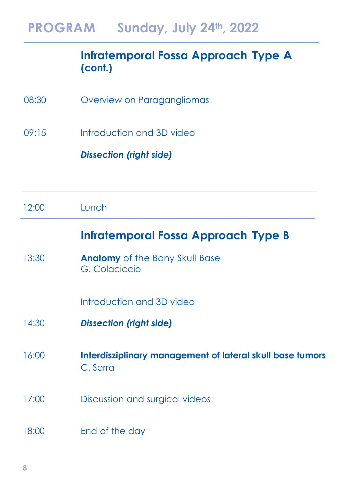#### **Infratemporal Fossa Approach Type A (cont.)**

- 08:30 Overview on Paragangliomas
- 09:15 Introduction and 3D video

*Dissection (right side)*

#### **Infratemporal Fossa Approach Type B**

13:30 **Anatomy** of the Bony Skull Base G. Colaciccio

Introduction and 3D video

- 14:30 *Dissection (right side)*
- 16:00 **Interdisziplinary management of lateral skull base tumors** C. Serra
- 17:00 Discussion and surgical videos
- 18:00 End of the day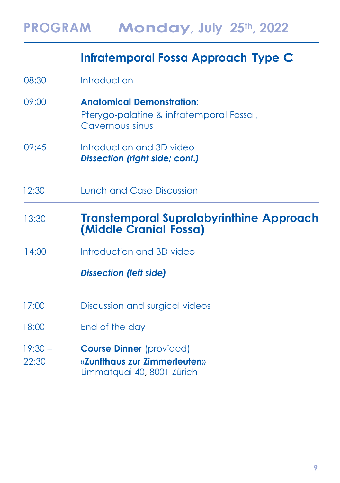## **Infratemporal Fossa Approach Type C**

| 08:30              | Introduction                                                                                   |
|--------------------|------------------------------------------------------------------------------------------------|
| 09:00              | <b>Anatomical Demonstration:</b><br>Pterygo-palatine & infratemporal Fossa,<br>Cavernous sinus |
| 09:45              | Introduction and 3D video<br><b>Dissection (right side; cont.)</b>                             |
| 12:30              | Lunch and Case Discussion                                                                      |
| 13:30              | <b>Transtemporal Supralabyrinthine Approach</b><br>(Middle Cranial Fossa)                      |
| 14:00              | Introduction and 3D video                                                                      |
|                    | <b>Dissection (left side)</b>                                                                  |
| 17:00              | Discussion and surgical videos                                                                 |
| 18:00              | End of the day                                                                                 |
| $19:30 -$<br>22:30 | <b>Course Dinner</b> (provided)<br>«Zunfthaus zur Zimmerleuten»<br>Limmatquai 40, 8001 Zürich  |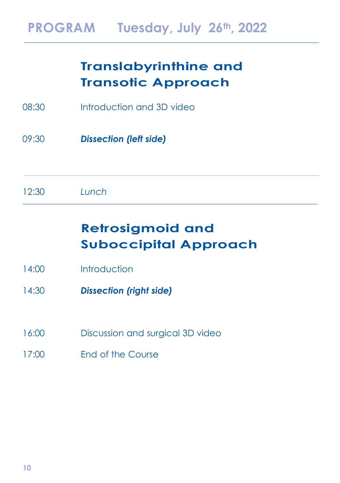### **Translabyrinthine and Transotic Approach**

- 08:30 Introduction and 3D video
- 09:30 *Dissection (left side)*
- 12:30 *Lunch*

## **Retrosigmoid and Suboccipital Approach**

- 14:00 Introduction
- 14:30 *Dissection (right side)*
- 16:00 Discussion and surgical 3D video
- 17:00 End of the Course